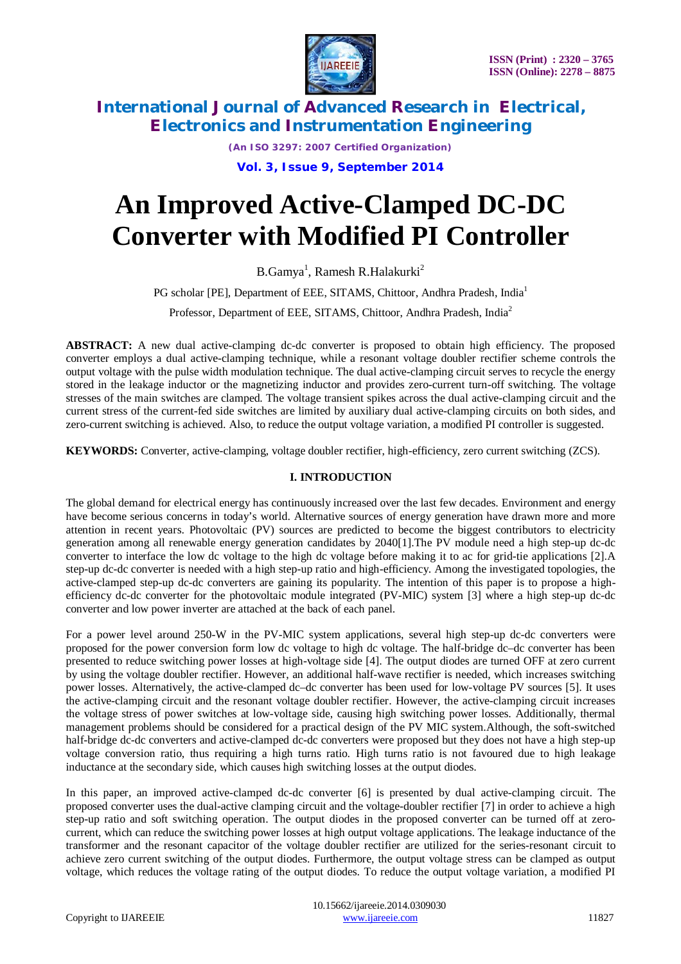

*(An ISO 3297: 2007 Certified Organization)* **Vol. 3, Issue 9, September 2014**

# **An Improved Active-Clamped DC-DC Converter with Modified PI Controller**

 $B.Gamya<sup>1</sup>$ , Ramesh R.Halakurki $^2$ 

PG scholar [PE], Department of EEE, SITAMS, Chittoor, Andhra Pradesh, India<sup>1</sup>

Professor, Department of EEE, SITAMS, Chittoor, Andhra Pradesh, India<sup>2</sup>

**ABSTRACT:** A new dual active-clamping dc-dc converter is proposed to obtain high efficiency. The proposed converter employs a dual active-clamping technique, while a resonant voltage doubler rectifier scheme controls the output voltage with the pulse width modulation technique. The dual active-clamping circuit serves to recycle the energy stored in the leakage inductor or the magnetizing inductor and provides zero-current turn-off switching. The voltage stresses of the main switches are clamped. The voltage transient spikes across the dual active-clamping circuit and the current stress of the current-fed side switches are limited by auxiliary dual active-clamping circuits on both sides, and zero-current switching is achieved. Also, to reduce the output voltage variation, a modified PI controller is suggested.

**KEYWORDS:** Converter, active-clamping, voltage doubler rectifier, high-efficiency, zero current switching (ZCS).

### **I. INTRODUCTION**

The global demand for electrical energy has continuously increased over the last few decades. Environment and energy have become serious concerns in today's world. Alternative sources of energy generation have drawn more and more attention in recent years. Photovoltaic (PV) sources are predicted to become the biggest contributors to electricity generation among all renewable energy generation candidates by 2040[1].The PV module need a high step-up dc-dc converter to interface the low dc voltage to the high dc voltage before making it to ac for grid-tie applications [2].A step-up dc-dc converter is needed with a high step-up ratio and high-efficiency. Among the investigated topologies, the active-clamped step-up dc-dc converters are gaining its popularity. The intention of this paper is to propose a highefficiency dc-dc converter for the photovoltaic module integrated (PV-MIC) system [3] where a high step-up dc-dc converter and low power inverter are attached at the back of each panel.

For a power level around 250-W in the PV-MIC system applications, several high step-up dc-dc converters were proposed for the power conversion form low dc voltage to high dc voltage. The half-bridge dc–dc converter has been presented to reduce switching power losses at high-voltage side [4]. The output diodes are turned OFF at zero current by using the voltage doubler rectifier. However, an additional half-wave rectifier is needed, which increases switching power losses. Alternatively, the active-clamped dc–dc converter has been used for low-voltage PV sources [5]. It uses the active-clamping circuit and the resonant voltage doubler rectifier. However, the active-clamping circuit increases the voltage stress of power switches at low-voltage side, causing high switching power losses. Additionally, thermal management problems should be considered for a practical design of the PV MIC system.Although, the soft-switched half-bridge dc-dc converters and active-clamped dc-dc converters were proposed but they does not have a high step-up voltage conversion ratio, thus requiring a high turns ratio. High turns ratio is not favoured due to high leakage inductance at the secondary side, which causes high switching losses at the output diodes.

In this paper, an improved active-clamped dc-dc converter [6] is presented by dual active-clamping circuit. The proposed converter uses the dual-active clamping circuit and the voltage-doubler rectifier [7] in order to achieve a high step-up ratio and soft switching operation. The output diodes in the proposed converter can be turned off at zerocurrent, which can reduce the switching power losses at high output voltage applications. The leakage inductance of the transformer and the resonant capacitor of the voltage doubler rectifier are utilized for the series-resonant circuit to achieve zero current switching of the output diodes. Furthermore, the output voltage stress can be clamped as output voltage, which reduces the voltage rating of the output diodes. To reduce the output voltage variation, a modified PI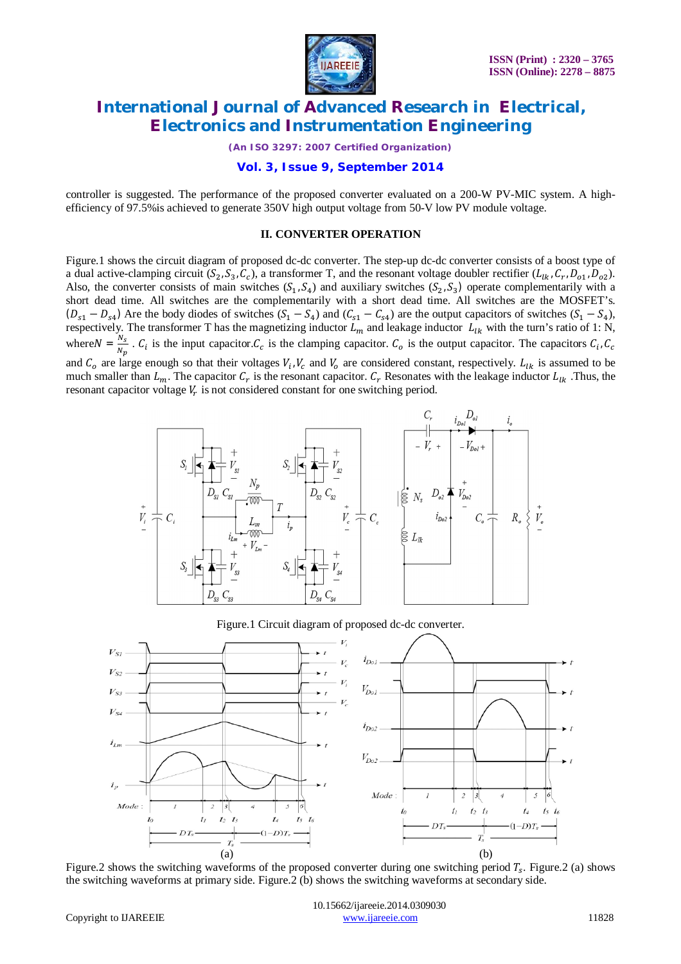

*(An ISO 3297: 2007 Certified Organization)*

**Vol. 3, Issue 9, September 2014**

controller is suggested. The performance of the proposed converter evaluated on a 200-W PV-MIC system. A highefficiency of 97.5%is achieved to generate 350V high output voltage from 50-V low PV module voltage.

#### **II. CONVERTER OPERATION**

Figure.1 shows the circuit diagram of proposed dc-dc converter. The step-up dc-dc converter consists of a boost type of a dual active-clamping circuit  $(S_2, S_3, C_c)$ , a transformer T, and the resonant voltage doubler rectifier  $(L_{lk}, C_r, D_{01}, D_{02})$ . Also, the converter consists of main switches  $(S_1, S_4)$  and auxiliary switches  $(S_2, S_3)$  operate complementarily with a short dead time. All switches are the complementarily with a short dead time. All switches are the MOSFET's.  $(D_{s1} - D_{s4})$  Are the body diodes of switches  $(S_1 - S_4)$  and  $(C_{s1} - C_{s4})$  are the output capacitors of switches  $(S_1 - S_4)$ , respectively. The transformer T has the magnetizing inductor  $L_m$  and leakage inductor  $L_{lk}$  with the turn's ratio of 1: N, where  $N = \frac{N_s}{N_s}$  $\frac{N_S}{N_p}$ .  $C_i$  is the input capacitor.  $C_c$  is the clamping capacitor.  $C_o$  is the output capacitor. The capacitors  $C_i$ ,  $C_c$ and  $C_0$  are large enough so that their voltages  $V_i$ ,  $V_c$  and  $V_o$  are considered constant, respectively.  $L_{lk}$  is assumed to be much smaller than  $L_m$ . The capacitor  $C_r$  is the resonant capacitor.  $C_r$  Resonates with the leakage inductor  $L_{lk}$ . Thus, the resonant capacitor voltage  $V_r$  is not considered constant for one switching period.



Figure.1 Circuit diagram of proposed dc-dc converter.



Figure.2 shows the switching waveforms of the proposed converter during one switching period  $T_s$ . Figure.2 (a) shows the switching waveforms at primary side. Figure.2 (b) shows the switching waveforms at secondary side.

 10.15662/ijareeie.2014.0309030 Copyright to IJAREEIE www.ijareeie.com 11828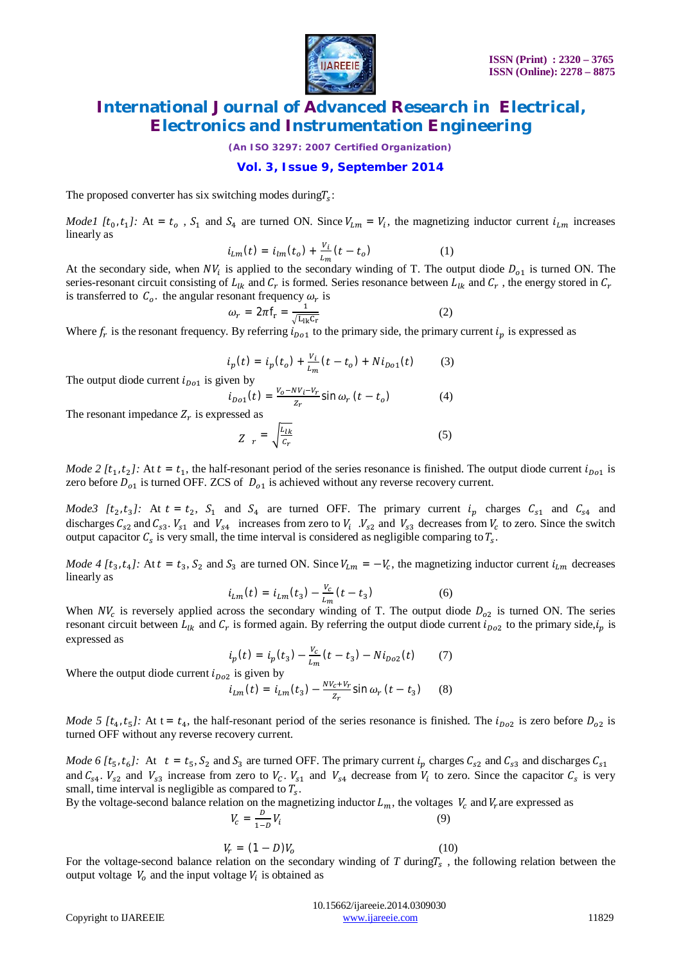

*(An ISO 3297: 2007 Certified Organization)*

### **Vol. 3, Issue 9, September 2014**

The proposed converter has six switching modes during  $T_s$ :

*Model*  $[t_0, t_1]$ : At =  $t_0$ ,  $S_1$  and  $S_4$  are turned ON. Since  $V_{Lm} = V_i$ , the magnetizing inductor current  $i_{Lm}$  increases linearly as

$$
i_{Lm}(t) = i_{lm}(t_o) + \frac{v_i}{L_m}(t - t_o)
$$
 (1)

At the secondary side, when  $NV_i$  is applied to the secondary winding of T. The output diode  $D_{o1}$  is turned ON. The series-resonant circuit consisting of  $L_{lk}$  and  $C_r$  is formed. Series resonance between  $L_{lk}$  and  $C_r$ , the energy stored in  $C_r$ is transferred to  $C_o$ , the angular resonant frequency  $\omega_r$  is

$$
\omega_r = 2\pi f_r = \frac{1}{\sqrt{L_{lk}C_r}}
$$
 (2)

Where  $f_r$  is the resonant frequency. By referring  $i_{p01}$  to the primary side, the primary current  $i_p$  is expressed as

$$
i_p(t) = i_p(t_o) + \frac{v_i}{L_m}(t - t_o) + N i_{D01}(t)
$$
 (3)

The output diode current  $i_{Do1}$  is given by

 $i_{Do1}(t) = \frac{V_0 - NV_i - V_r}{Z}$  $\frac{\partial v_i - v_r}{\partial z_r}$ sin  $\omega_r$  (*t* – *t*<sub>o</sub>  $(4)$ 

The resonant impedance  $Z_r$  is expressed as

$$
Z_r = \sqrt{\frac{L_{lk}}{C_r}}
$$
 (5)

*Mode 2* [ $t_1, t_2$ ]: At  $t = t_1$ , the half-resonant period of the series resonance is finished. The output diode current  $i_{\text{D01}}$  is zero before  $D_{o1}$  is turned OFF. ZCS of  $D_{o1}$  is achieved without any reverse recovery current.

*Mode3* [ $t_2, t_3$ ]: At  $t = t_2$ ,  $S_1$  and  $S_4$  are turned OFF. The primary current  $i_p$  charges  $C_{s1}$  and  $C_{s4}$  and discharges  $C_{s2}$  and  $C_{s3}$ .  $V_{s1}$  and  $V_{s4}$  increases from zero to  $V_i$ .  $V_{s2}$  and  $V_{s3}$  decreases from  $V_c$  to zero. Since the switch output capacitor  $C_s$  is very small, the time interval is considered as negligible comparing to  $T_s$ .

*Mode 4* [ $t_3$ ,  $t_4$ ]: At  $t = t_3$ ,  $S_2$  and  $S_3$  are turned ON. Since  $V_{Lm} = -V_c$ , the magnetizing inductor current  $i_{Lm}$  decreases linearly as

$$
i_{Lm}(t) = i_{Lm}(t_3) - \frac{v_c}{l_m}(t - t_3)
$$
 (6)

When  $NV_c$  is reversely applied across the secondary winding of T. The output diode  $D_{o2}$  is turned ON. The series resonant circuit between  $L_{lk}$  and  $C_r$  is formed again. By referring the output diode current  $i_{Do2}$  to the primary side,  $i_p$  is expressed as

$$
i_p(t) = i_p(t_3) - \frac{v_c}{L_m}(t - t_3) - Ni_{Do2}(t) \tag{7}
$$

Where the output diode current  $i_{Do2}$  is given by

$$
i_{Lm}(t) = i_{Lm}(t_3) - \frac{N V_c + V_r}{Z_r} \sin \omega_r (t - t_3)
$$
 (8)

*Mode* 5  $[t_4, t_5]$ : At t =  $t_4$ , the half-resonant period of the series resonance is finished. The  $i_{D_02}$  is zero before  $D_{02}$  is turned OFF without any reverse recovery current.

*Mode* 6 [ $t_5$ ,  $t_6$ ]: At  $t = t_5$ ,  $S_2$  and  $S_3$  are turned OFF. The primary current  $i_p$  charges  $C_{s2}$  and  $C_{s3}$  and discharges  $C_{s1}$ and  $C_{s4}$ .  $V_{s2}$  and  $V_{s3}$  increase from zero to  $V_c$ .  $V_{s1}$  and  $V_{s4}$  decrease from  $V_i$  to zero. Since the capacitor  $C_s$  is very small, time interval is negligible as compared to  $T_s$ .

By the voltage-second balance relation on the magnetizing inductor  $L_m$ , the voltages  $V_c$  and  $V_r$  are expressed as

$$
V_c = \frac{D}{1 - D} V_i
$$
 (9)  

$$
V_r = (1 - D) V_o
$$
 (10)

 (10) For the voltage-second balance relation on the secondary winding of  $T$  during $T_s$ , the following relation between the output voltage  $V_o$  and the input voltage  $V_i$  is obtained as

|                              | 10.15662/ijareeje.2014.0309030 |       |
|------------------------------|--------------------------------|-------|
| Copyright to <b>IJAREEIE</b> | www.mareeje.com                | 11829 |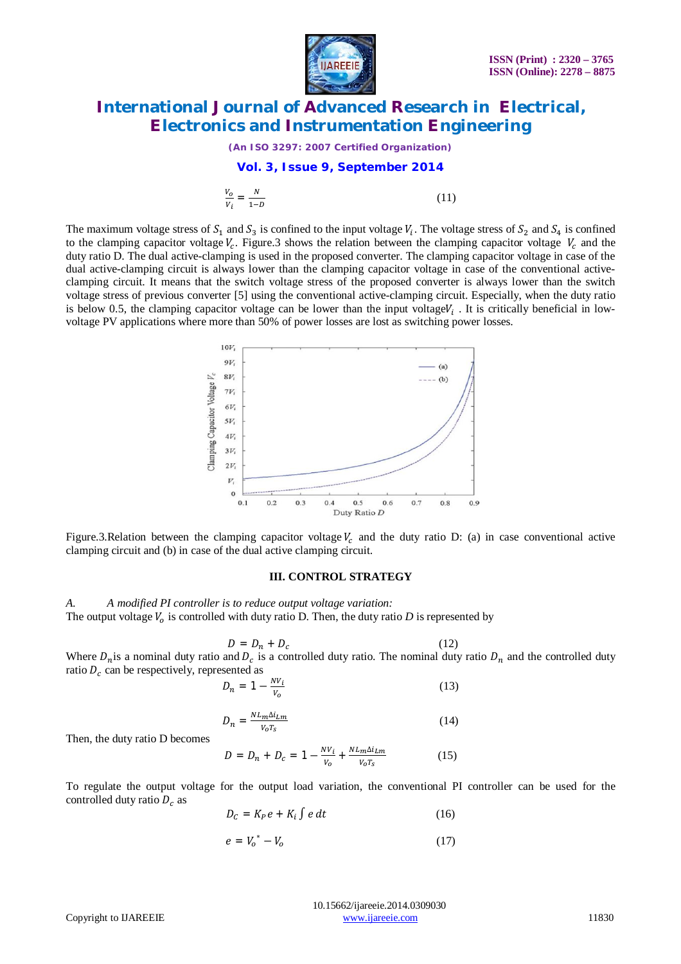

*(An ISO 3297: 2007 Certified Organization)*

#### **Vol. 3, Issue 9, September 2014**

$$
\frac{V_o}{V_i} = \frac{N}{1 - D} \tag{11}
$$

The maximum voltage stress of  $S_1$  and  $S_3$  is confined to the input voltage  $V_i$ . The voltage stress of  $S_2$  and  $S_4$  is confined to the clamping capacitor voltage  $V_c$ . Figure. 3 shows the relation between the clamping capacitor voltage  $V_c$  and the duty ratio D. The dual active-clamping is used in the proposed converter. The clamping capacitor voltage in case of the dual active-clamping circuit is always lower than the clamping capacitor voltage in case of the conventional activeclamping circuit. It means that the switch voltage stress of the proposed converter is always lower than the switch voltage stress of previous converter [5] using the conventional active-clamping circuit. Especially, when the duty ratio is below 0.5, the clamping capacitor voltage can be lower than the input voltage $V_i$ . It is critically beneficial in lowvoltage PV applications where more than 50% of power losses are lost as switching power losses.



Figure.3.Relation between the clamping capacitor voltage  $V_c$  and the duty ratio D: (a) in case conventional active clamping circuit and (b) in case of the dual active clamping circuit.

#### **III. CONTROL STRATEGY**

*A. A modified PI controller is to reduce output voltage variation:* The output voltage  $V<sub>o</sub>$  is controlled with duty ratio D. Then, the duty ratio  $D$  is represented by

$$
D = D_n + D_c \tag{12}
$$

Where  $D_n$  is a nominal duty ratio and  $D_c$  is a controlled duty ratio. The nominal duty ratio  $D_n$  and the controlled duty ratio  $D_c$  can be respectively, represented as

$$
D_n = 1 - \frac{NV_i}{V_o} \tag{13}
$$

$$
D_n = \frac{N L_m \Delta i_{Lm}}{V_o T_s} \tag{14}
$$

Then, the duty ratio D becomes

$$
D = D_n + D_c = 1 - \frac{N V_i}{V_o} + \frac{N L_m \Delta i_{Lm}}{V_o T_s}
$$
(15)

To regulate the output voltage for the output load variation, the conventional PI controller can be used for the controlled duty ratio  $D_c$  as

$$
D_{\mathcal{C}} = K_{P}e + K_{i} \int e \, dt \tag{16}
$$

$$
e = V_o^* - V_o \tag{17}
$$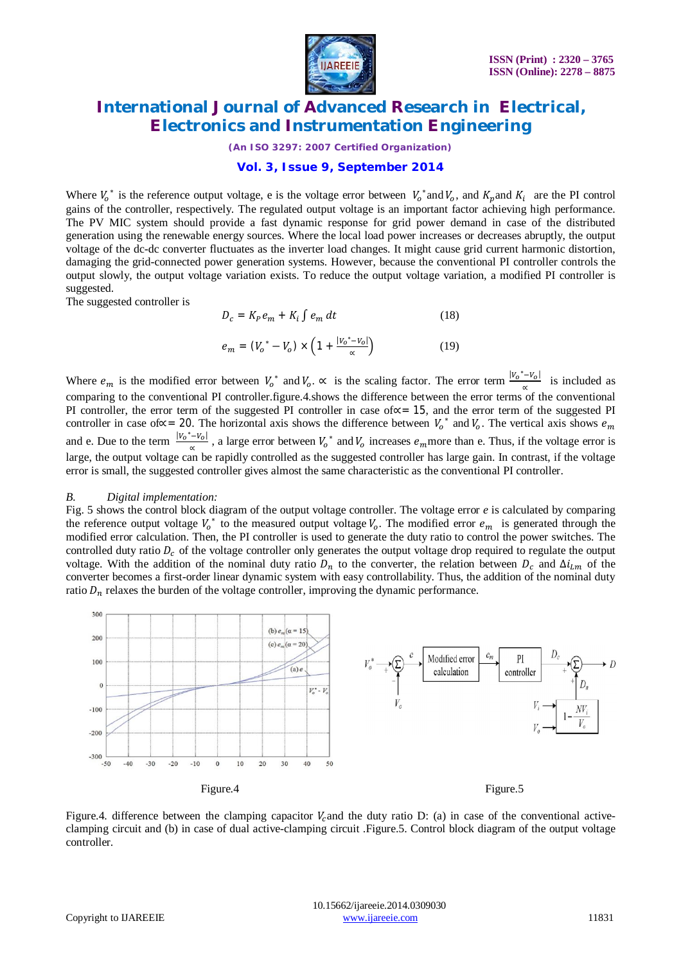

*(An ISO 3297: 2007 Certified Organization)*

### **Vol. 3, Issue 9, September 2014**

Where  $V_0^*$  is the reference output voltage, e is the voltage error between  $V_0^*$  and  $V_0$ , and  $K_p$  and  $K_i$  are the PI control gains of the controller, respectively. The regulated output voltage is an important factor achieving high performance. The PV MIC system should provide a fast dynamic response for grid power demand in case of the distributed generation using the renewable energy sources. Where the local load power increases or decreases abruptly, the output voltage of the dc-dc converter fluctuates as the inverter load changes. It might cause grid current harmonic distortion, damaging the grid-connected power generation systems. However, because the conventional PI controller controls the output slowly, the output voltage variation exists. To reduce the output voltage variation, a modified PI controller is suggested.

The suggested controller is

$$
D_c = K_P e_m + K_i \int e_m dt \tag{18}
$$

$$
e_m = (V_o^* - V_o) \times \left(1 + \frac{|v_o^* - v_o|}{\alpha}\right) \tag{19}
$$

Where  $e_m$  is the modified error between  $V_0^*$  and  $V_0$ .  $\propto$  is the scaling factor. The error term  $\frac{|V_0^* - V_0|}{\gamma}$  $\frac{-\nu_{01}}{\alpha}$  is included as comparing to the conventional PI controller.figure.4.shows the difference between the error terms of the conventional PI controller, the error term of the suggested PI controller in case of∝= 15, and the error term of the suggested PI controller in case of∝ = 20. The horizontal axis shows the difference between  $V_0^*$  and  $V_0$ . The vertical axis shows  $e_m$ and e. Due to the term  $\frac{|V_0^* - V_0|}{r}$  $\frac{(-V_0)}{\alpha}$ , a large error between  $V_0^*$  and  $V_0$  increases  $e_m$  more than e. Thus, if the voltage error is large, the output voltage can be rapidly controlled as the suggested controller has large gain. In contrast, if the voltage error is small, the suggested controller gives almost the same characteristic as the conventional PI controller.

#### *B. Digital implementation:*

Fig. 5 shows the control block diagram of the output voltage controller. The voltage error *e* is calculated by comparing the reference output voltage  $V_0^*$  to the measured output voltage  $V_0$ . The modified error  $e_m$  is generated through the modified error calculation. Then, the PI controller is used to generate the duty ratio to control the power switches. The controlled duty ratio  $D<sub>c</sub>$  of the voltage controller only generates the output voltage drop required to regulate the output voltage. With the addition of the nominal duty ratio  $D_n$  to the converter, the relation between  $D_c$  and  $\Delta i_{Lm}$  of the converter becomes a first-order linear dynamic system with easy controllability. Thus, the addition of the nominal duty ratio  $D_n$  relaxes the burden of the voltage controller, improving the dynamic performance.



Figure.4. difference between the clamping capacitor  $V_c$  and the duty ratio D: (a) in case of the conventional activeclamping circuit and (b) in case of dual active-clamping circuit .Figure.5. Control block diagram of the output voltage controller.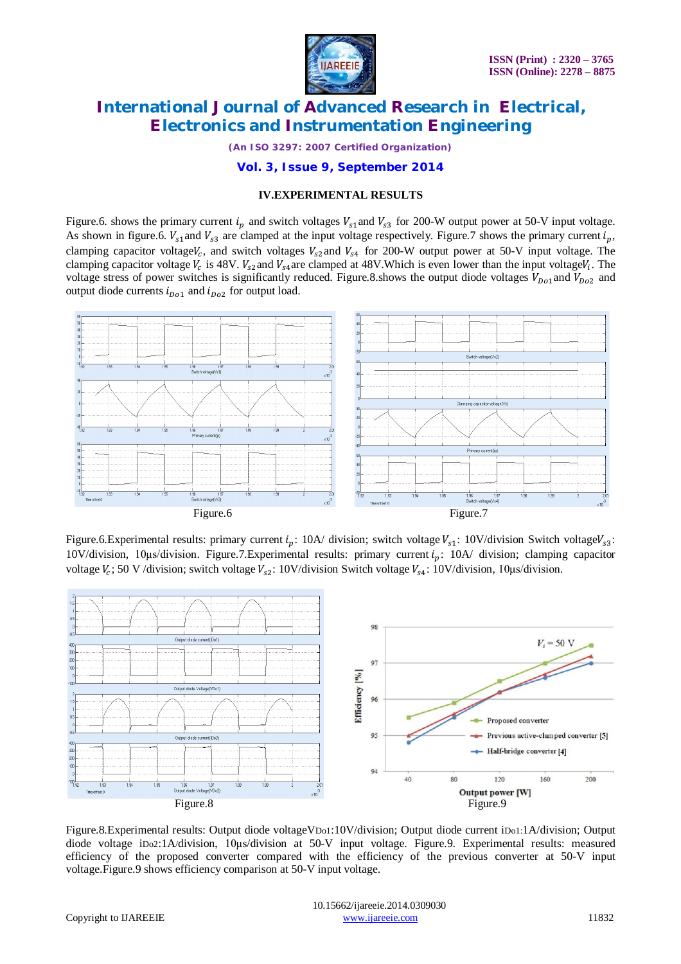

*(An ISO 3297: 2007 Certified Organization)*

**Vol. 3, Issue 9, September 2014**

### **IV.EXPERIMENTAL RESULTS**

Figure.6. shows the primary current  $i_p$  and switch voltages  $V_{s1}$  and  $V_{s3}$  for 200-W output power at 50-V input voltage. As shown in figure.6.  $V_{s1}$  and  $V_{s3}$  are clamped at the input voltage respectively. Figure.7 shows the primary current  $i_n$ , clamping capacitor voltage $V_c$ , and switch voltages  $V_{s2}$ and  $V_{s4}$  for 200-W output power at 50-V input voltage. The clamping capacitor voltage  $V_c$  is 48V.  $V_{s2}$  and  $V_{s4}$  are clamped at 48V. Which is even lower than the input voltage $V_i$ . The voltage stress of power switches is significantly reduced. Figure.8.shows the output diode voltages  $V_{Do1}$  and  $V_{Do2}$  and output diode currents  $i_{Do1}$  and  $i_{Do2}$  for output load.



Figure.6.Experimental results: primary current  $i_p$ : 10A/ division; switch voltage  $V_{s1}$ : 10V/division Switch voltage $V_{s3}$ : 10V/division, 10μs/division. Figure.7.Experimental results: primary current  $i_n$ : 10A/ division; clamping capacitor voltage  $V_c$ ; 50 V /division; switch voltage  $V_{s2}$ : 10V/division Switch voltage  $V_{s4}$ : 10V/division, 10µs/division.



Figure.8.Experimental results: Output diode voltageVDo1:10V/division; Output diode current iDo1:1A/division; Output diode voltage iDo2:1A/division, 10μs/division at 50-V input voltage. Figure.9. Experimental results: measured efficiency of the proposed converter compared with the efficiency of the previous converter at 50-V input voltage.Figure.9 shows efficiency comparison at 50-V input voltage.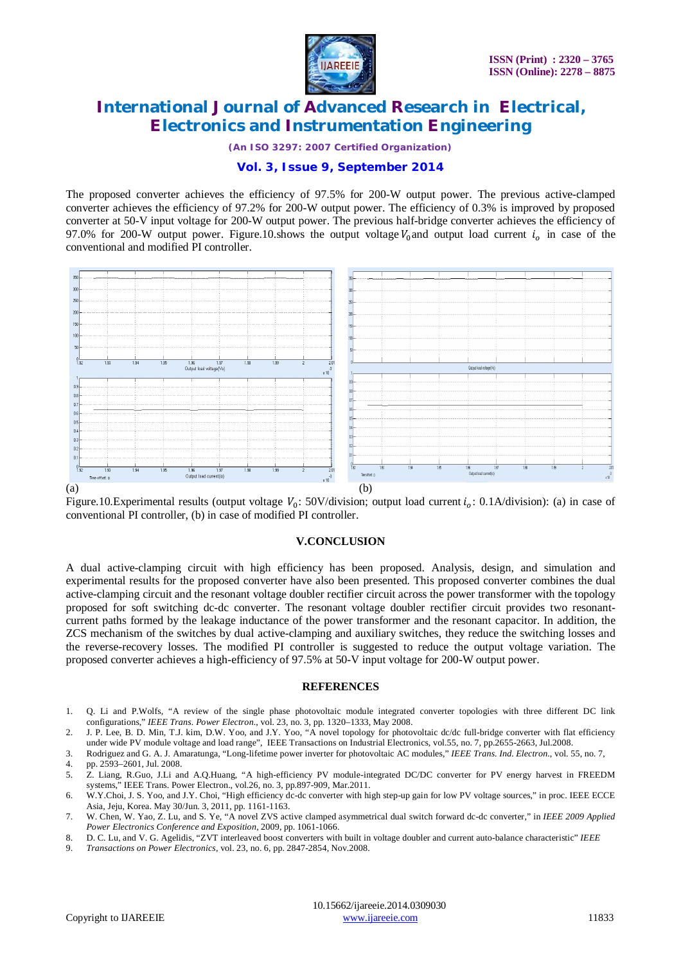

*(An ISO 3297: 2007 Certified Organization)*

### **Vol. 3, Issue 9, September 2014**

The proposed converter achieves the efficiency of 97.5% for 200-W output power. The previous active-clamped converter achieves the efficiency of 97.2% for 200-W output power. The efficiency of 0.3% is improved by proposed converter at 50-V input voltage for 200-W output power. The previous half-bridge converter achieves the efficiency of 97.0% for 200-W output power. Figure.10.shows the output voltage  $V_0$  and output load current  $i_o$  in case of the conventional and modified PI controller.



Figure.10.Experimental results (output voltage  $V_0$ : 50V/division; output load current  $i_0$ : 0.1A/division): (a) in case of conventional PI controller, (b) in case of modified PI controller.

#### **V.CONCLUSION**

A dual active-clamping circuit with high efficiency has been proposed. Analysis, design, and simulation and experimental results for the proposed converter have also been presented. This proposed converter combines the dual active-clamping circuit and the resonant voltage doubler rectifier circuit across the power transformer with the topology proposed for soft switching dc-dc converter. The resonant voltage doubler rectifier circuit provides two resonantcurrent paths formed by the leakage inductance of the power transformer and the resonant capacitor. In addition, the ZCS mechanism of the switches by dual active-clamping and auxiliary switches, they reduce the switching losses and the reverse-recovery losses. The modified PI controller is suggested to reduce the output voltage variation. The proposed converter achieves a high-efficiency of 97.5% at 50-V input voltage for 200-W output power.

#### **REFERENCES**

- 1. Q. Li and P.Wolfs, "A review of the single phase photovoltaic module integrated converter topologies with three different DC link configurations," *IEEE Trans. Power Electron.*, vol. 23, no. 3, pp. 1320–1333, May 2008.
- 2. J. P. Lee, B. D. Min, T.J. kim, D.W. Yoo, and J.Y. Yoo, "A novel topology for photovoltaic dc/dc full-bridge converter with flat efficiency under wide PV module voltage and load range", IEEE Transactions on Industrial Electronics, vol.55, no. 7, pp.2655-2663, Jul.2008.

3. Rodriguez and G. A. J. Amaratunga, "Long-lifetime power inverter for photovoltaic AC modules," *IEEE Trans. Ind. Electron.*, vol. 55, no. 7,

9. *Transactions on Power Electronics*, vol. 23, no. 6, pp. 2847-2854, Nov.2008.

<sup>4.</sup> pp. 2593–2601, Jul. 2008. 5. Z. Liang, R.Guo, J.Li and A.Q.Huang, "A high-efficiency PV module-integrated DC/DC converter for PV energy harvest in FREEDM systems," IEEE Trans. Power Electron., vol.26, no. 3, pp.897-909, Mar.2011.

<sup>6.</sup> W.Y.Choi, J. S. Yoo, and J.Y. Choi, "High efficiency dc-dc converter with high step-up gain for low PV voltage sources," in proc. IEEE ECCE Asia, Jeju, Korea. May 30/Jun. 3, 2011, pp. 1161-1163.

<sup>7.</sup> W. Chen, W. Yao, Z. Lu, and S. Ye, "A novel ZVS active clamped asymmetrical dual switch forward dc-dc converter," in *IEEE 2009 Applied Power Electronics Conference and Exposition*, 2009, pp. 1061-1066.

<sup>8.</sup> D. C. Lu, and V. G. Agelidis, "ZVT interleaved boost converters with built in voltage doubler and current auto-balance characteristic" *IEEE*